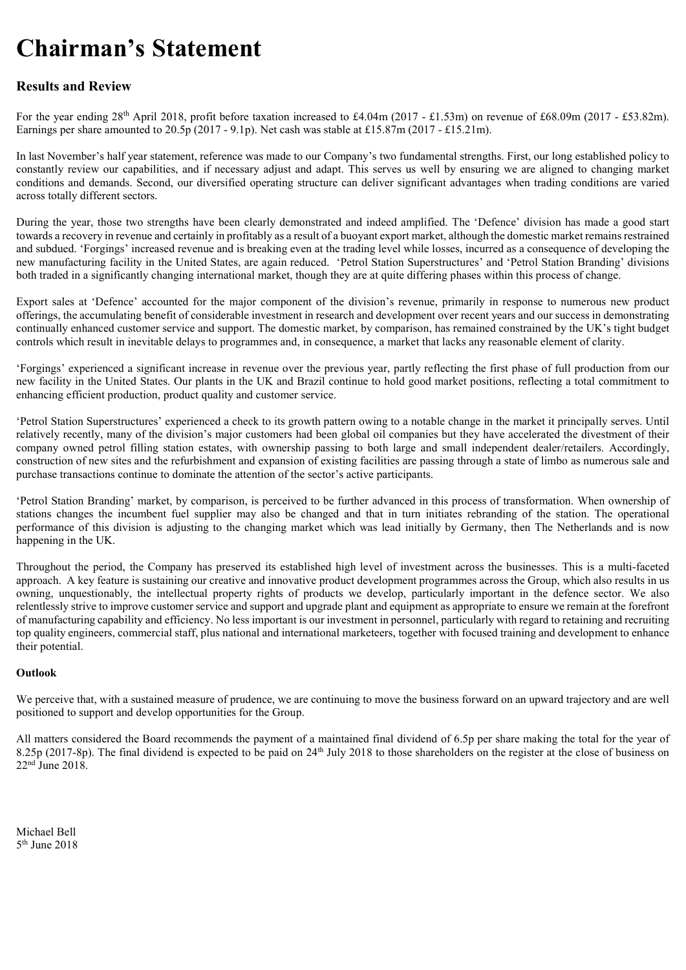# Chairman's Statement

# Results and Review

For the year ending  $28<sup>th</sup>$  April 2018, profit before taxation increased to £4.04m (2017 - £1.53m) on revenue of £68.09m (2017 - £53.82m). Earnings per share amounted to 20.5p (2017 - 9.1p). Net cash was stable at £15.87m (2017 - £15.21m).

In last November's half year statement, reference was made to our Company's two fundamental strengths. First, our long established policy to constantly review our capabilities, and if necessary adjust and adapt. This serves us well by ensuring we are aligned to changing market conditions and demands. Second, our diversified operating structure can deliver significant advantages when trading conditions are varied across totally different sectors.

During the year, those two strengths have been clearly demonstrated and indeed amplified. The 'Defence' division has made a good start towards a recovery in revenue and certainly in profitably as a result of a buoyant export market, although the domestic market remains restrained and subdued. 'Forgings' increased revenue and is breaking even at the trading level while losses, incurred as a consequence of developing the new manufacturing facility in the United States, are again reduced. 'Petrol Station Superstructures' and 'Petrol Station Branding' divisions both traded in a significantly changing international market, though they are at quite differing phases within this process of change.

Export sales at 'Defence' accounted for the major component of the division's revenue, primarily in response to numerous new product offerings, the accumulating benefit of considerable investment in research and development over recent years and our success in demonstrating continually enhanced customer service and support. The domestic market, by comparison, has remained constrained by the UK's tight budget controls which result in inevitable delays to programmes and, in consequence, a market that lacks any reasonable element of clarity.

'Forgings' experienced a significant increase in revenue over the previous year, partly reflecting the first phase of full production from our new facility in the United States. Our plants in the UK and Brazil continue to hold good market positions, reflecting a total commitment to enhancing efficient production, product quality and customer service.

'Petrol Station Superstructures' experienced a check to its growth pattern owing to a notable change in the market it principally serves. Until relatively recently, many of the division's major customers had been global oil companies but they have accelerated the divestment of their company owned petrol filling station estates, with ownership passing to both large and small independent dealer/retailers. Accordingly, construction of new sites and the refurbishment and expansion of existing facilities are passing through a state of limbo as numerous sale and purchase transactions continue to dominate the attention of the sector's active participants.

'Petrol Station Branding' market, by comparison, is perceived to be further advanced in this process of transformation. When ownership of stations changes the incumbent fuel supplier may also be changed and that in turn initiates rebranding of the station. The operational performance of this division is adjusting to the changing market which was lead initially by Germany, then The Netherlands and is now happening in the UK.

Throughout the period, the Company has preserved its established high level of investment across the businesses. This is a multi-faceted approach. A key feature is sustaining our creative and innovative product development programmes across the Group, which also results in us owning, unquestionably, the intellectual property rights of products we develop, particularly important in the defence sector. We also relentlessly strive to improve customer service and support and upgrade plant and equipment as appropriate to ensure we remain at the forefront of manufacturing capability and efficiency. No less important is our investment in personnel, particularly with regard to retaining and recruiting top quality engineers, commercial staff, plus national and international marketeers, together with focused training and development to enhance their potential.

# **Outlook**

We perceive that, with a sustained measure of prudence, we are continuing to move the business forward on an upward trajectory and are well positioned to support and develop opportunities for the Group.

All matters considered the Board recommends the payment of a maintained final dividend of 6.5p per share making the total for the year of 8.25p (2017-8p). The final dividend is expected to be paid on 24<sup>th</sup> July 2018 to those shareholders on the register at the close of business on 22nd June 2018.

Michael Bell 5th June 2018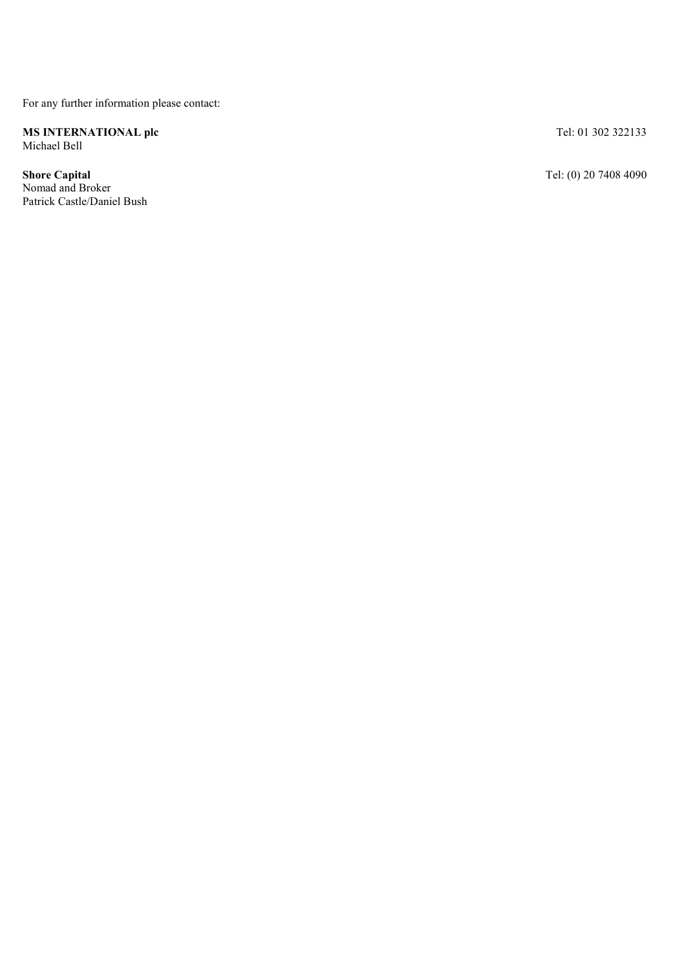For any further information please contact:

MS INTERNATIONAL plc Michael Bell

Shore Capital Nomad and Broker Patrick Castle/Daniel Bush Tel: 01 302 322133

Tel: (0) 20 7408 4090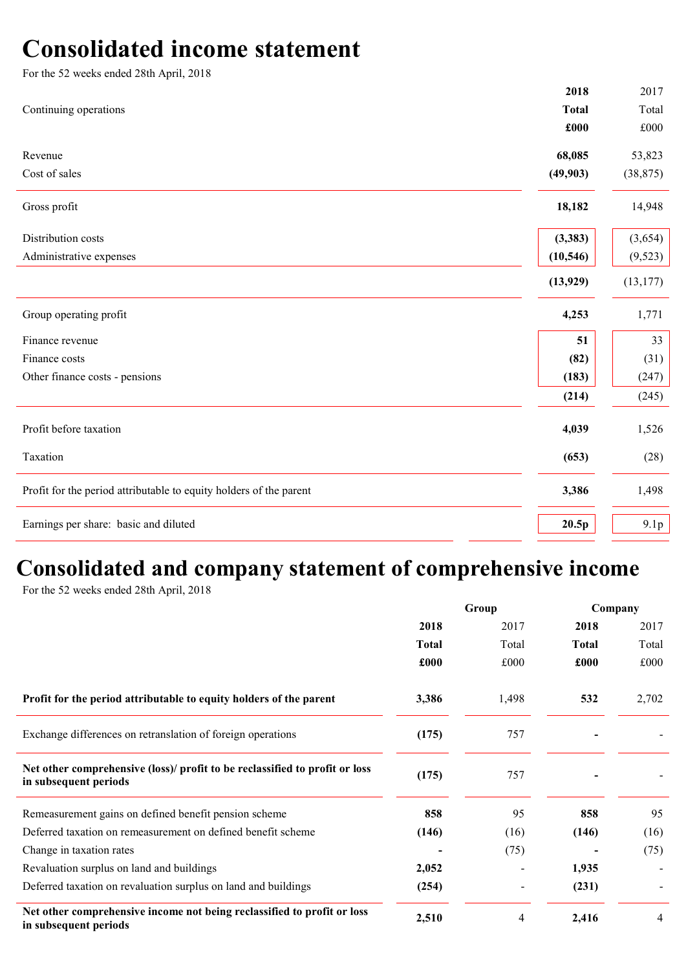# Consolidated income statement

| For the 52 weeks ended 28th April, 2018                            |              |              |
|--------------------------------------------------------------------|--------------|--------------|
|                                                                    | 2018         | 2017         |
| Continuing operations                                              | <b>Total</b> | Total        |
|                                                                    | £000         | $\pounds000$ |
| Revenue                                                            | 68,085       | 53,823       |
| Cost of sales                                                      | (49, 903)    | (38, 875)    |
| Gross profit                                                       | 18,182       | 14,948       |
| Distribution costs                                                 | (3,383)      | (3,654)      |
| Administrative expenses                                            | (10, 546)    | (9, 523)     |
|                                                                    | (13, 929)    | (13, 177)    |
| Group operating profit                                             | 4,253        | 1,771        |
| Finance revenue                                                    | 51           | 33           |
| Finance costs                                                      | (82)         | (31)         |
| Other finance costs - pensions                                     | (183)        | (247)        |
|                                                                    | (214)        | (245)        |
| Profit before taxation                                             | 4,039        | 1,526        |
| Taxation                                                           | (653)        | (28)         |
| Profit for the period attributable to equity holders of the parent | 3,386        | 1,498        |
| Earnings per share: basic and diluted                              | 20.5p        | 9.1p         |

# Consolidated and company statement of comprehensive income

For the 52 weeks ended 28th April, 2018

|                                                                                                      | Group        |       | Company      |       |
|------------------------------------------------------------------------------------------------------|--------------|-------|--------------|-------|
|                                                                                                      | 2018         | 2017  | 2018         | 2017  |
|                                                                                                      | <b>Total</b> | Total | <b>Total</b> | Total |
|                                                                                                      | £000         | £000  | £000         | £000  |
| Profit for the period attributable to equity holders of the parent                                   | 3,386        | 1,498 | 532          | 2,702 |
| Exchange differences on retranslation of foreign operations                                          | (175)        | 757   |              |       |
| Net other comprehensive (loss)/ profit to be reclassified to profit or loss<br>in subsequent periods | (175)        | 757   |              |       |
| Remeasurement gains on defined benefit pension scheme                                                | 858          | 95    | 858          | 95    |
| Deferred taxation on remeasurement on defined benefit scheme                                         | (146)        | (16)  | (146)        | (16)  |
| Change in taxation rates                                                                             |              | (75)  |              | (75)  |
| Revaluation surplus on land and buildings                                                            | 2,052        |       | 1,935        |       |
| Deferred taxation on revaluation surplus on land and buildings                                       | (254)        |       | (231)        |       |
| Net other comprehensive income not being reclassified to profit or loss<br>in subsequent periods     | 2,510        | 4     | 2,416        | 4     |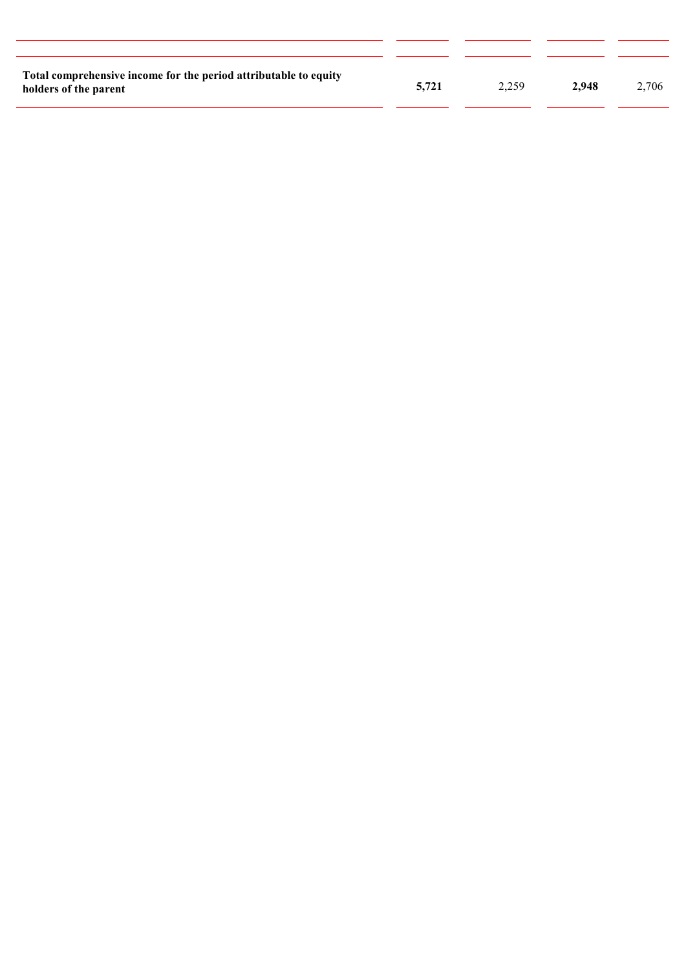| Total comprehensive income for the period attributable to equity<br>holders of the parent | 5.721 | 2.259 | 2.948 | 2.706 |
|-------------------------------------------------------------------------------------------|-------|-------|-------|-------|

l,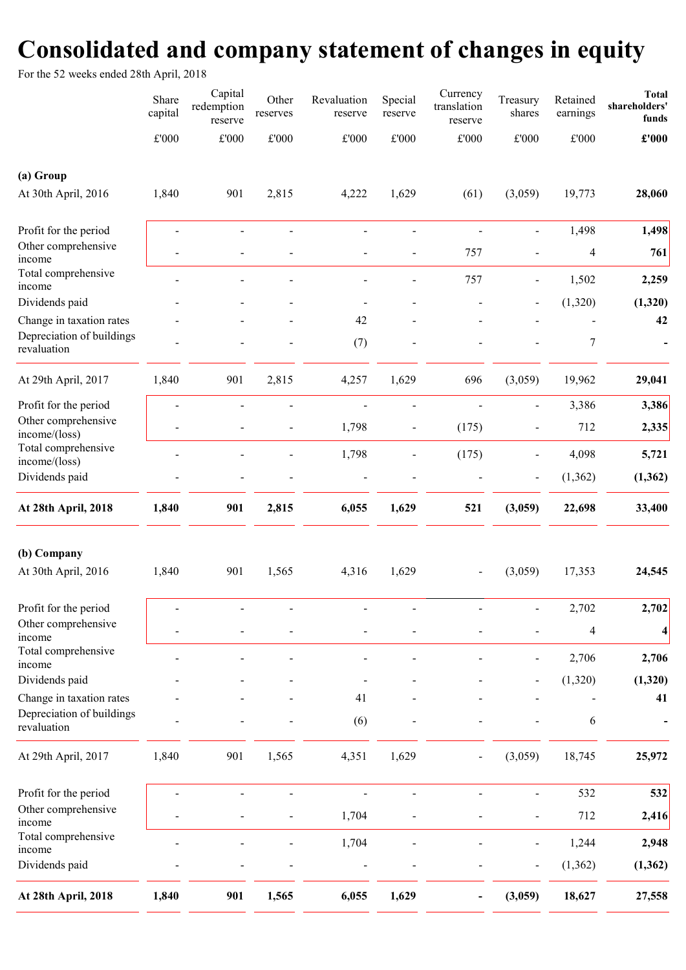# Consolidated and company statement of changes in equity

For the 52 weeks ended 28th April, 2018

| <b>Total</b><br>shareholders'<br>funds | Retained<br>earnings | Treasury<br>shares           | Currency<br>translation<br>reserve | Special<br>reserve | Revaluation<br>reserve | Other<br>reserves | Capital<br>redemption<br>reserve | Share<br>capital |                                          |
|----------------------------------------|----------------------|------------------------------|------------------------------------|--------------------|------------------------|-------------------|----------------------------------|------------------|------------------------------------------|
| $\pounds 000$                          | $\pounds 000$        | $\pounds 000$                | $\pounds 000$                      | $\pounds 000$      | $\pounds 000$          | $\pounds 000$     | $\pounds 000$                    | $\pounds 000$    |                                          |
|                                        |                      |                              |                                    |                    |                        |                   |                                  |                  | (a) Group                                |
| 28,060                                 | 19,773               | (3,059)                      | (61)                               | 1,629              | 4,222                  | 2,815             | 901                              | 1,840            | At 30th April, 2016                      |
| 1,498                                  | 1,498                | $\blacksquare$               |                                    |                    | $\overline{a}$         | $\overline{a}$    |                                  | $\blacksquare$   | Profit for the period                    |
| 761                                    | $\overline{4}$       |                              | 757                                |                    |                        |                   |                                  |                  | Other comprehensive<br>income            |
| 2,259                                  | 1,502                | $\qquad \qquad \blacksquare$ | 757                                |                    |                        |                   |                                  |                  | Total comprehensive                      |
| (1,320)                                | (1,320)              |                              |                                    |                    |                        |                   |                                  |                  | income<br>Dividends paid                 |
| 42                                     |                      |                              |                                    |                    | 42                     |                   |                                  |                  | Change in taxation rates                 |
|                                        | 7                    |                              |                                    |                    | (7)                    |                   |                                  |                  | Depreciation of buildings<br>revaluation |
| 29,041                                 | 19,962               | (3,059)                      | 696                                | 1,629              | 4,257                  | 2,815             | 901                              | 1,840            | At 29th April, 2017                      |
| 3,386                                  | 3,386                | $\overline{a}$               | Ĭ.                                 | $\overline{a}$     |                        | -                 |                                  |                  | Profit for the period                    |
| 2,335                                  | 712                  |                              | (175)                              | $\overline{a}$     | 1,798                  | $\overline{a}$    |                                  |                  | Other comprehensive<br>income/(loss)     |
| 5,721                                  | 4,098                | $\qquad \qquad \blacksquare$ | (175)                              |                    | 1,798                  |                   |                                  |                  | Total comprehensive<br>income/(loss)     |
| (1, 362)                               | (1, 362)             | $\overline{\phantom{a}}$     |                                    |                    |                        |                   |                                  |                  | Dividends paid                           |
| 33,400                                 | 22,698               | (3,059)                      | 521                                | 1,629              | 6,055                  | 2,815             | 901                              | 1,840            | At 28th April, 2018                      |
|                                        |                      |                              |                                    |                    |                        |                   |                                  |                  | (b) Company                              |
| 24,545                                 | 17,353               | (3,059)                      |                                    | 1,629              | 4,316                  | 1,565             | 901                              | 1,840            | At 30th April, 2016                      |
| 2,702                                  | 2,702                |                              |                                    |                    |                        |                   |                                  |                  | Profit for the period                    |
| $\overline{\mathbf{4}}$                | 4                    |                              |                                    |                    |                        |                   |                                  |                  | Other comprehensive<br>income            |
| 2,706                                  | 2,706                |                              |                                    |                    |                        |                   |                                  |                  | Total comprehensive<br>income            |
| (1,320)                                | (1,320)              |                              |                                    |                    |                        |                   |                                  |                  | Dividends paid                           |
| 41                                     |                      |                              |                                    |                    | 41                     |                   |                                  |                  | Change in taxation rates                 |
|                                        | 6                    |                              |                                    |                    | (6)                    |                   |                                  |                  | Depreciation of buildings<br>revaluation |
| 25,972                                 | 18,745               | (3,059)                      |                                    | 1,629              | 4,351                  | 1,565             | 901                              | 1,840            | At 29th April, 2017                      |
| 532                                    | 532                  |                              |                                    |                    |                        |                   |                                  |                  | Profit for the period                    |
| 2,416                                  | 712                  |                              |                                    |                    | 1,704                  |                   |                                  |                  | Other comprehensive                      |
| 2,948                                  | 1,244                | $\blacksquare$               |                                    |                    | 1,704                  |                   |                                  |                  | Total comprehensive                      |
| (1, 362)                               | (1, 362)             |                              |                                    |                    |                        |                   |                                  |                  | Dividends paid                           |
|                                        | 18,627               | (3,059)                      |                                    | 1,629              | 6,055                  | 1,565             | 901                              | 1,840            | At 28th April, 2018                      |
|                                        |                      |                              |                                    |                    |                        |                   |                                  |                  | income<br>income                         |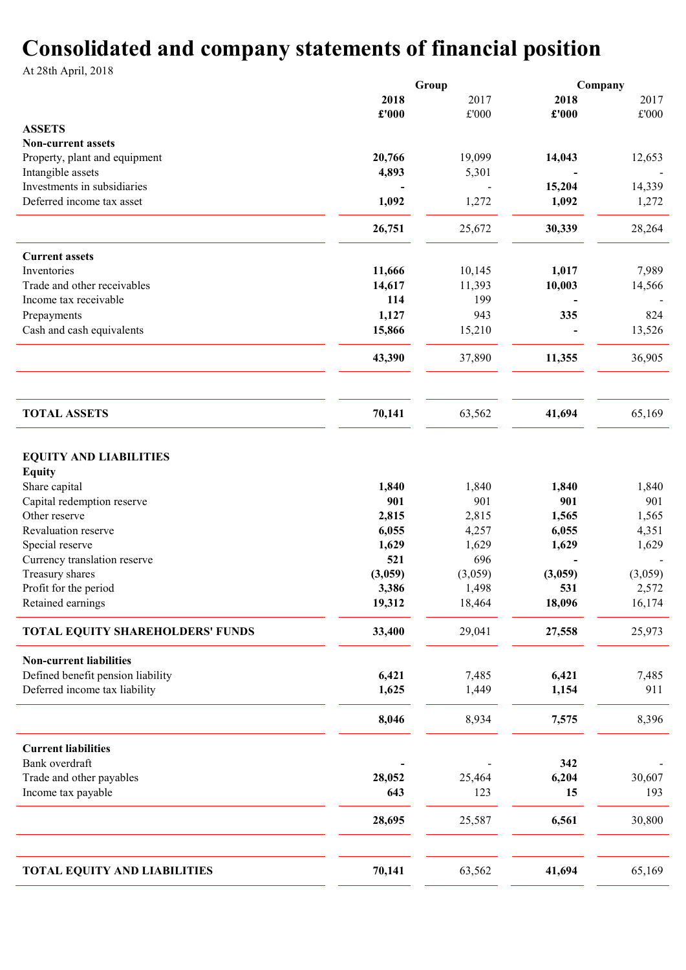# Consolidated and company statements of financial position

At 28th April, 2018

|                                                                 |         | Group         |         | Company       |  |
|-----------------------------------------------------------------|---------|---------------|---------|---------------|--|
|                                                                 | 2018    | 2017          | 2018    | 2017          |  |
|                                                                 | £'000   | $\pounds 000$ | £'000   | $\pounds 000$ |  |
| <b>ASSETS</b>                                                   |         |               |         |               |  |
| <b>Non-current assets</b>                                       |         |               |         |               |  |
| Property, plant and equipment                                   | 20,766  | 19,099        | 14,043  | 12,653        |  |
| Intangible assets                                               | 4,893   | 5,301         |         |               |  |
| Investments in subsidiaries                                     |         |               | 15,204  | 14,339        |  |
| Deferred income tax asset                                       | 1,092   | 1,272         | 1,092   | 1,272         |  |
|                                                                 | 26,751  | 25,672        | 30,339  | 28,264        |  |
| <b>Current assets</b>                                           |         |               |         |               |  |
| Inventories                                                     | 11,666  | 10,145        | 1,017   | 7,989         |  |
| Trade and other receivables                                     | 14,617  | 11,393        | 10,003  | 14,566        |  |
| Income tax receivable                                           | 114     | 199           |         |               |  |
| Prepayments                                                     | 1,127   | 943           | 335     | 824           |  |
| Cash and cash equivalents                                       | 15,866  | 15,210        |         | 13,526        |  |
|                                                                 | 43,390  | 37,890        | 11,355  | 36,905        |  |
| <b>TOTAL ASSETS</b>                                             | 70,141  | 63,562        | 41,694  | 65,169        |  |
| <b>EQUITY AND LIABILITIES</b><br><b>Equity</b><br>Share capital | 1,840   | 1,840         | 1,840   | 1,840         |  |
| Capital redemption reserve                                      | 901     | 901           | 901     | 901           |  |
| Other reserve                                                   | 2,815   | 2,815         | 1,565   | 1,565         |  |
| Revaluation reserve                                             | 6,055   | 4,257         | 6,055   | 4,351         |  |
| Special reserve                                                 | 1,629   | 1,629         | 1,629   | 1,629         |  |
| Currency translation reserve                                    | 521     | 696           |         |               |  |
| Treasury shares                                                 | (3,059) | (3,059)       | (3,059) | (3,059)       |  |
| Profit for the period                                           | 3,386   | 1,498         | 531     | 2,572         |  |
| Retained earnings                                               | 19,312  | 18,464        | 18,096  | 16,174        |  |
| TOTAL EQUITY SHAREHOLDERS' FUNDS                                | 33,400  | 29,041        | 27,558  | 25,973        |  |
| <b>Non-current liabilities</b>                                  |         |               |         |               |  |
| Defined benefit pension liability                               | 6,421   | 7,485         | 6,421   | 7,485         |  |
| Deferred income tax liability                                   | 1,625   | 1,449         | 1,154   | 911           |  |
|                                                                 | 8,046   | 8,934         | 7,575   | 8,396         |  |
| <b>Current liabilities</b>                                      |         |               |         |               |  |
| Bank overdraft                                                  |         |               | 342     |               |  |
| Trade and other payables                                        | 28,052  | 25,464        | 6,204   | 30,607        |  |
| Income tax payable                                              | 643     | 123           | 15      | 193           |  |
|                                                                 | 28,695  | 25,587        | 6,561   | 30,800        |  |
| <b>TOTAL EQUITY AND LIABILITIES</b>                             | 70,141  | 63,562        | 41,694  | 65,169        |  |
|                                                                 |         |               |         |               |  |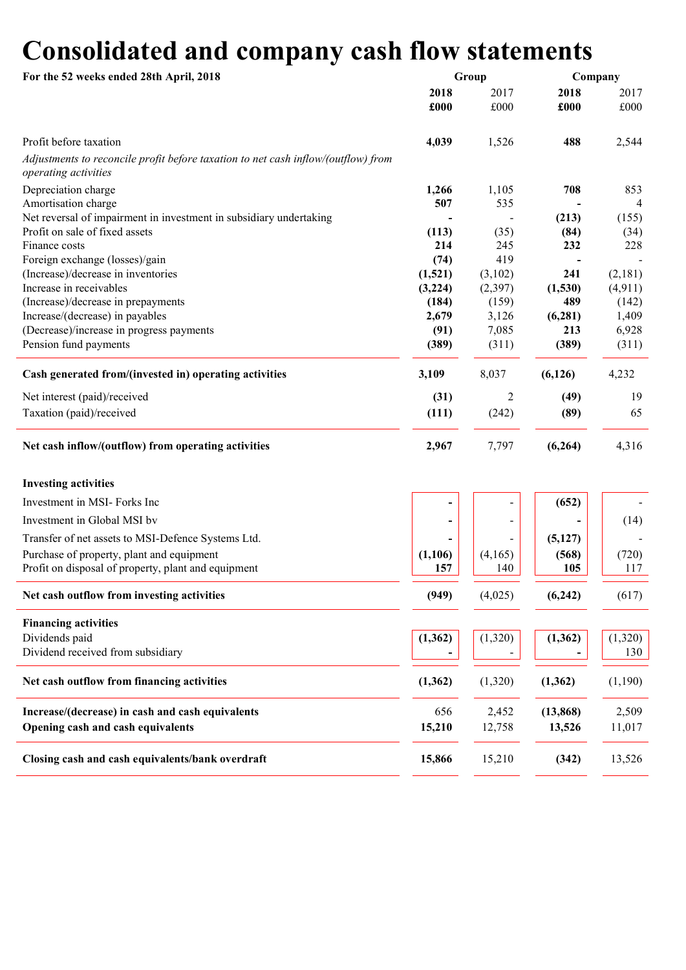# Consolidated and company cash flow statements

| For the 52 weeks ended 28th April, 2018                                                                   |              | Group                    | Company      |              |  |
|-----------------------------------------------------------------------------------------------------------|--------------|--------------------------|--------------|--------------|--|
|                                                                                                           | 2018<br>£000 | 2017<br>£000             | 2018<br>£000 | 2017<br>£000 |  |
| Profit before taxation                                                                                    | 4,039        | 1,526                    | 488          | 2,544        |  |
| Adjustments to reconcile profit before taxation to net cash inflow/(outflow) from<br>operating activities |              |                          |              |              |  |
| Depreciation charge<br>Amortisation charge                                                                | 1,266<br>507 | 1,105<br>535             | 708          | 853<br>4     |  |
| Net reversal of impairment in investment in subsidiary undertaking                                        |              |                          | (213)        | (155)        |  |
| Profit on sale of fixed assets                                                                            | (113)        | (35)                     | (84)         | (34)         |  |
| Finance costs                                                                                             | 214          | 245                      | 232          | 228          |  |
| Foreign exchange (losses)/gain                                                                            | (74)         | 419                      |              |              |  |
| (Increase)/decrease in inventories                                                                        | (1,521)      | (3,102)                  | 241          | (2,181)      |  |
| Increase in receivables                                                                                   | (3,224)      | (2,397)                  | (1,530)      | (4, 911)     |  |
| (Increase)/decrease in prepayments                                                                        | (184)        | (159)                    | 489          | (142)        |  |
| Increase/(decrease) in payables                                                                           | 2,679        | 3,126                    | (6, 281)     | 1,409        |  |
| (Decrease)/increase in progress payments                                                                  | (91)         | 7,085                    | 213          | 6,928        |  |
| Pension fund payments                                                                                     | (389)        | (311)                    | (389)        | (311)        |  |
| Cash generated from/(invested in) operating activities                                                    | 3,109        | 8,037                    | (6, 126)     | 4,232        |  |
| Net interest (paid)/received                                                                              | (31)         | $\overline{2}$           | (49)         | 19           |  |
| Taxation (paid)/received                                                                                  | (111)        | (242)                    | (89)         | 65           |  |
| Net cash inflow/(outflow) from operating activities                                                       | 2,967        | 7,797                    | (6,264)      | 4,316        |  |
| <b>Investing activities</b>                                                                               |              |                          |              |              |  |
| Investment in MSI-Forks Inc                                                                               |              |                          | (652)        |              |  |
| Investment in Global MSI by                                                                               |              | $\overline{\phantom{a}}$ |              | (14)         |  |
| Transfer of net assets to MSI-Defence Systems Ltd.                                                        |              |                          | (5,127)      |              |  |
| Purchase of property, plant and equipment                                                                 | (1,106)      | (4,165)                  | (568)        | (720)        |  |
| Profit on disposal of property, plant and equipment                                                       | 157          | 140                      | 105          | 117          |  |
| Net cash outflow from investing activities                                                                | (949)        | (4,025)                  | (6,242)      | (617)        |  |
| <b>Financing activities</b>                                                                               |              |                          |              |              |  |
| Dividends paid                                                                                            | (1, 362)     | (1,320)                  | (1, 362)     | (1,320)      |  |
| Dividend received from subsidiary                                                                         |              |                          |              | 130          |  |
| Net cash outflow from financing activities                                                                | (1, 362)     | (1,320)                  | (1, 362)     | (1,190)      |  |
| Increase/(decrease) in cash and cash equivalents                                                          | 656          | 2,452                    | (13, 868)    | 2,509        |  |
| Opening cash and cash equivalents                                                                         | 15,210       | 12,758                   | 13,526       | 11,017       |  |
| Closing cash and cash equivalents/bank overdraft                                                          | 15,866       | 15,210                   | (342)        | 13,526       |  |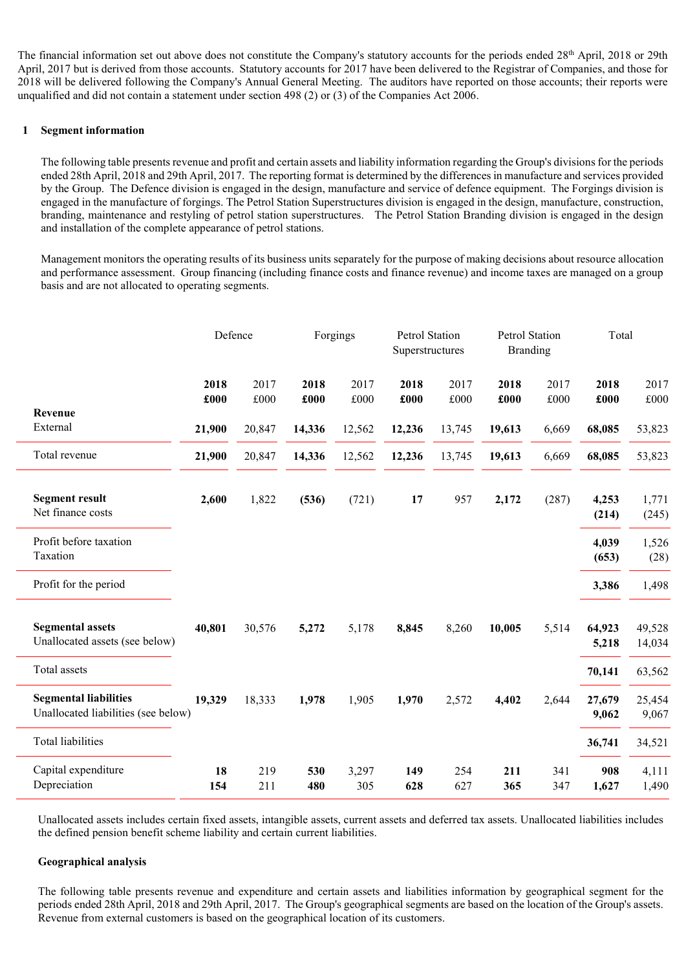The financial information set out above does not constitute the Company's statutory accounts for the periods ended 28<sup>th</sup> April, 2018 or 29th April, 2017 but is derived from those accounts. Statutory accounts for 2017 have been delivered to the Registrar of Companies, and those for 2018 will be delivered following the Company's Annual General Meeting. The auditors have reported on those accounts; their reports were unqualified and did not contain a statement under section 498 (2) or (3) of the Companies Act 2006.

# 1 Segment information

The following table presents revenue and profit and certain assets and liability information regarding the Group's divisions for the periods ended 28th April, 2018 and 29th April, 2017. The reporting format is determined by the differences in manufacture and services provided by the Group. The Defence division is engaged in the design, manufacture and service of defence equipment. The Forgings division is engaged in the manufacture of forgings. The Petrol Station Superstructures division is engaged in the design, manufacture, construction, branding, maintenance and restyling of petrol station superstructures. The Petrol Station Branding division is engaged in the design and installation of the complete appearance of petrol stations.

Management monitors the operating results of its business units separately for the purpose of making decisions about resource allocation and performance assessment. Group financing (including finance costs and finance revenue) and income taxes are managed on a group basis and are not allocated to operating segments.

|                                                                     | Defence      |              |              | Forgings     | Petrol Station<br>Superstructures |              | Petrol Station<br><b>Branding</b> |              | Total           |                  |
|---------------------------------------------------------------------|--------------|--------------|--------------|--------------|-----------------------------------|--------------|-----------------------------------|--------------|-----------------|------------------|
|                                                                     | 2018<br>£000 | 2017<br>£000 | 2018<br>£000 | 2017<br>£000 | 2018<br>£000                      | 2017<br>£000 | 2018<br>£000                      | 2017<br>£000 | 2018<br>£000    | 2017<br>£000     |
| Revenue<br>External                                                 | 21,900       | 20,847       | 14,336       | 12,562       | 12,236                            | 13,745       | 19,613                            | 6,669        | 68,085          | 53,823           |
| Total revenue                                                       | 21,900       | 20,847       | 14,336       | 12,562       | 12,236                            | 13,745       | 19,613                            | 6,669        | 68,085          | 53,823           |
| <b>Segment result</b><br>Net finance costs                          | 2,600        | 1,822        | (536)        | (721)        | 17                                | 957          | 2,172                             | (287)        | 4,253<br>(214)  | 1,771<br>(245)   |
| Profit before taxation<br>Taxation                                  |              |              |              |              |                                   |              |                                   |              | 4,039<br>(653)  | 1,526<br>(28)    |
| Profit for the period                                               |              |              |              |              |                                   |              |                                   |              | 3,386           | 1,498            |
| <b>Segmental assets</b><br>Unallocated assets (see below)           | 40,801       | 30,576       | 5,272        | 5,178        | 8,845                             | 8,260        | 10,005                            | 5,514        | 64,923<br>5,218 | 49,528<br>14,034 |
| Total assets                                                        |              |              |              |              |                                   |              |                                   |              | 70,141          | 63,562           |
| <b>Segmental liabilities</b><br>Unallocated liabilities (see below) | 19,329       | 18,333       | 1,978        | 1,905        | 1,970                             | 2,572        | 4,402                             | 2,644        | 27,679<br>9,062 | 25,454<br>9,067  |
| <b>Total liabilities</b>                                            |              |              |              |              |                                   |              |                                   |              | 36,741          | 34,521           |
| Capital expenditure<br>Depreciation                                 | 18<br>154    | 219<br>211   | 530<br>480   | 3,297<br>305 | 149<br>628                        | 254<br>627   | 211<br>365                        | 341<br>347   | 908<br>1,627    | 4,111<br>1,490   |

Unallocated assets includes certain fixed assets, intangible assets, current assets and deferred tax assets. Unallocated liabilities includes the defined pension benefit scheme liability and certain current liabilities.

# Geographical analysis

The following table presents revenue and expenditure and certain assets and liabilities information by geographical segment for the periods ended 28th April, 2018 and 29th April, 2017. The Group's geographical segments are based on the location of the Group's assets. Revenue from external customers is based on the geographical location of its customers.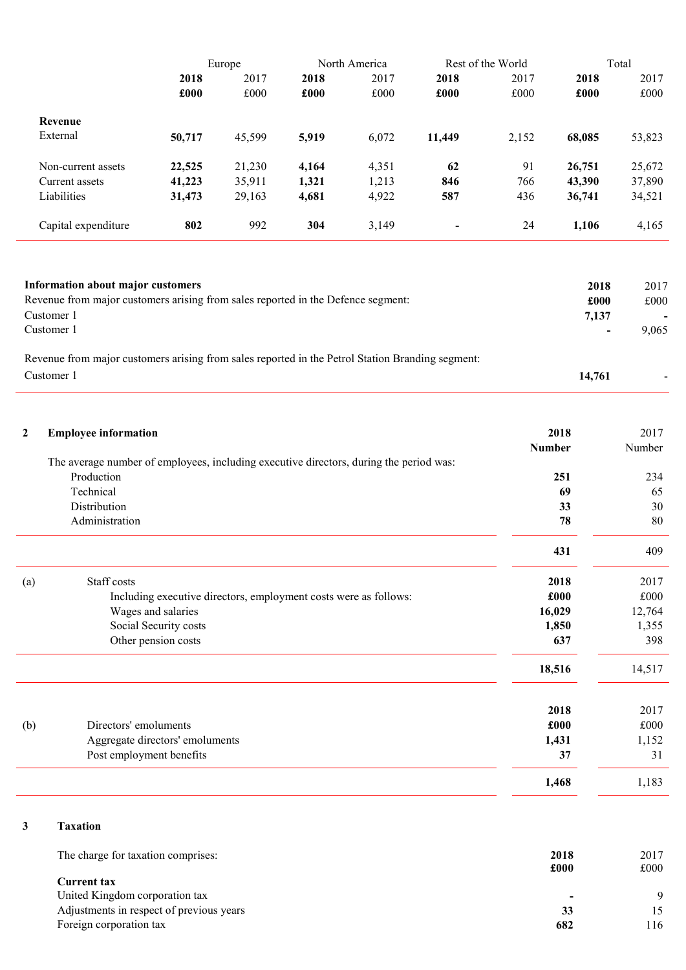|                     | Europe |        |       | North America |                | Rest of the World | Total  |        |  |
|---------------------|--------|--------|-------|---------------|----------------|-------------------|--------|--------|--|
|                     | 2018   | 2017   | 2018  | 2017          | 2018           | 2017              | 2018   | 2017   |  |
|                     | £000   | £000   | £000  | £000          | £000           | £000              | £000   | £000   |  |
| Revenue             |        |        |       |               |                |                   |        |        |  |
| External            | 50,717 | 45,599 | 5,919 | 6,072         | 11,449         | 2,152             | 68,085 | 53,823 |  |
| Non-current assets  | 22,525 | 21,230 | 4,164 | 4,351         | 62             | 91                | 26,751 | 25,672 |  |
| Current assets      | 41,223 | 35,911 | 1,321 | 1,213         | 846            | 766               | 43,390 | 37,890 |  |
| Liabilities         | 31,473 | 29,163 | 4,681 | 4,922         | 587            | 436               | 36,741 | 34,521 |  |
| Capital expenditure | 802    | 992    | 304   | 3,149         | $\blacksquare$ | 24                | 1,106  | 4,165  |  |

| Information about major customers<br>Revenue from major customers arising from sales reported in the Defence segment:<br>Customer 1<br>Customer 1 | 2018<br>£000<br>7,137 | 2017<br>£000<br>$\overline{\phantom{0}}$<br>9.065 |
|---------------------------------------------------------------------------------------------------------------------------------------------------|-----------------------|---------------------------------------------------|
| Revenue from major customers arising from sales reported in the Petrol Station Branding segment:<br>Customer 1                                    | 14,761                |                                                   |

| $\boldsymbol{2}$ | <b>Employee information</b>                                                            | 2018          | 2017   |
|------------------|----------------------------------------------------------------------------------------|---------------|--------|
|                  |                                                                                        | <b>Number</b> | Number |
|                  | The average number of employees, including executive directors, during the period was: |               |        |
|                  | Production                                                                             | 251           | 234    |
|                  | Technical                                                                              | 69            | 65     |
|                  | Distribution                                                                           | 33            | 30     |
|                  | Administration                                                                         | 78            | 80     |
|                  |                                                                                        | 431           | 409    |
| (a)              | Staff costs                                                                            | 2018          | 2017   |
|                  | Including executive directors, employment costs were as follows:                       | £000          | £000   |
|                  | Wages and salaries                                                                     | 16,029        | 12,764 |
|                  | Social Security costs                                                                  | 1,850         | 1,355  |
|                  | Other pension costs                                                                    | 637           | 398    |
|                  |                                                                                        | 18,516        | 14,517 |
|                  |                                                                                        | 2018          | 2017   |
| (b)              | Directors' emoluments                                                                  | £000          | £000   |
|                  | Aggregate directors' emoluments                                                        | 1,431         | 1,152  |
|                  | Post employment benefits                                                               | 37            | 31     |
|                  |                                                                                        | 1,468         | 1,183  |
| 3                | <b>Taxation</b>                                                                        |               |        |

| The charge for taxation comprises:       | 2018 | 2017 |
|------------------------------------------|------|------|
|                                          | £000 | £000 |
| Current tax                              |      |      |
| United Kingdom corporation tax           |      |      |
| Adjustments in respect of previous years | 33   |      |
| Foreign corporation tax                  | 682  | 16   |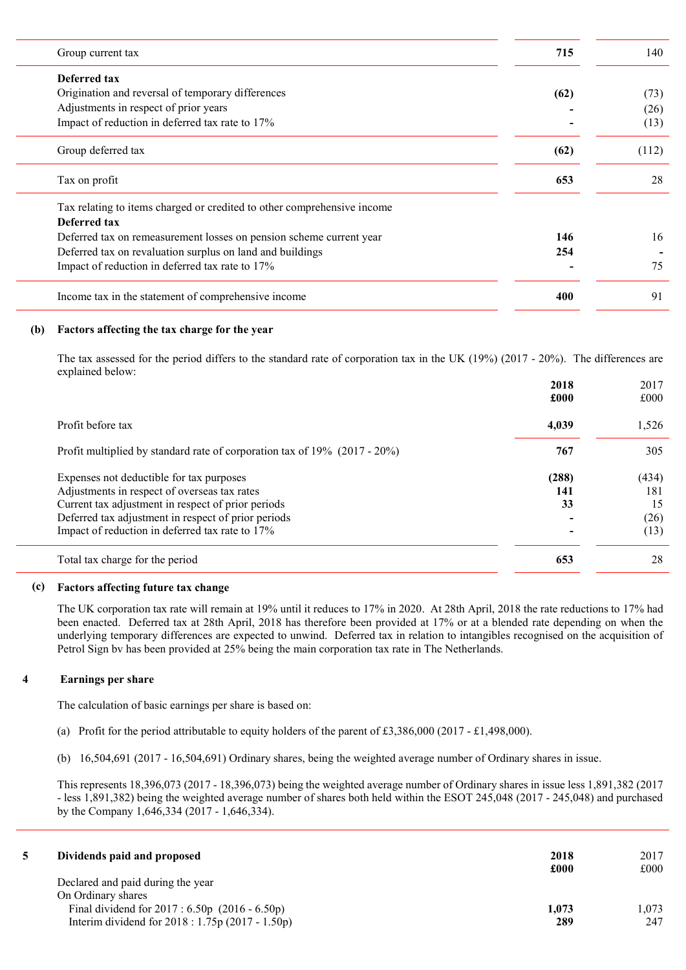| Group current tax                                                       | 715  | 140   |
|-------------------------------------------------------------------------|------|-------|
| Deferred tax                                                            |      |       |
| Origination and reversal of temporary differences                       | (62) | (73)  |
| Adjustments in respect of prior years                                   |      | (26)  |
| Impact of reduction in deferred tax rate to 17%                         |      | (13)  |
| Group deferred tax                                                      | (62) | (112) |
| Tax on profit                                                           | 653  | 28    |
| Tax relating to items charged or credited to other comprehensive income |      |       |
| Deferred tax                                                            |      |       |
| Deferred tax on remeasurement losses on pension scheme current year     | 146  | 16    |
| Deferred tax on revaluation surplus on land and buildings               | 254  |       |
| Impact of reduction in deferred tax rate to 17%                         |      | 75    |
| Income tax in the statement of comprehensive income                     | 400  | 91    |

# (b) Factors affecting the tax charge for the year

The tax assessed for the period differs to the standard rate of corporation tax in the UK (19%) (2017 - 20%). The differences are explained below:

|                                                                                          | 2018<br>£000 | 2017<br>£000 |
|------------------------------------------------------------------------------------------|--------------|--------------|
| Profit before tax                                                                        | 4,039        | 1,526        |
|                                                                                          | 767          | 305          |
| Profit multiplied by standard rate of corporation tax of 19% (2017 - 20%)                |              |              |
| Expenses not deductible for tax purposes<br>Adjustments in respect of overseas tax rates | (288)<br>141 | (434)<br>181 |
| Current tax adjustment in respect of prior periods                                       | 33           | 15           |
| Deferred tax adjustment in respect of prior periods                                      |              | (26)         |
| Impact of reduction in deferred tax rate to 17%                                          |              | (13)         |
| Total tax charge for the period                                                          | 653          | 28           |

# (c) Factors affecting future tax change

The UK corporation tax rate will remain at 19% until it reduces to 17% in 2020. At 28th April, 2018 the rate reductions to 17% had been enacted. Deferred tax at 28th April, 2018 has therefore been provided at 17% or at a blended rate depending on when the underlying temporary differences are expected to unwind. Deferred tax in relation to intangibles recognised on the acquisition of Petrol Sign bv has been provided at 25% being the main corporation tax rate in The Netherlands.

# 4 Earnings per share

The calculation of basic earnings per share is based on:

- (a) Profit for the period attributable to equity holders of the parent of £3,386,000 (2017 £1,498,000).
- (b) 16,504,691 (2017 16,504,691) Ordinary shares, being the weighted average number of Ordinary shares in issue.

This represents 18,396,073 (2017 - 18,396,073) being the weighted average number of Ordinary shares in issue less 1,891,382 (2017 - less 1,891,382) being the weighted average number of shares both held within the ESOT 245,048 (2017 - 245,048) and purchased by the Company 1,646,334 (2017 - 1,646,334).

| Dividends paid and proposed                       | 2018<br>£000 | 2017<br>£000 |
|---------------------------------------------------|--------------|--------------|
| Declared and paid during the year                 |              |              |
| On Ordinary shares                                |              |              |
| Final dividend for $2017 : 6.50p$ (2016 - 6.50p)  | 1,073        | 1.073        |
| Interim dividend for $2018 : 1.75p(2017 - 1.50p)$ | 289          | 247          |
|                                                   |              |              |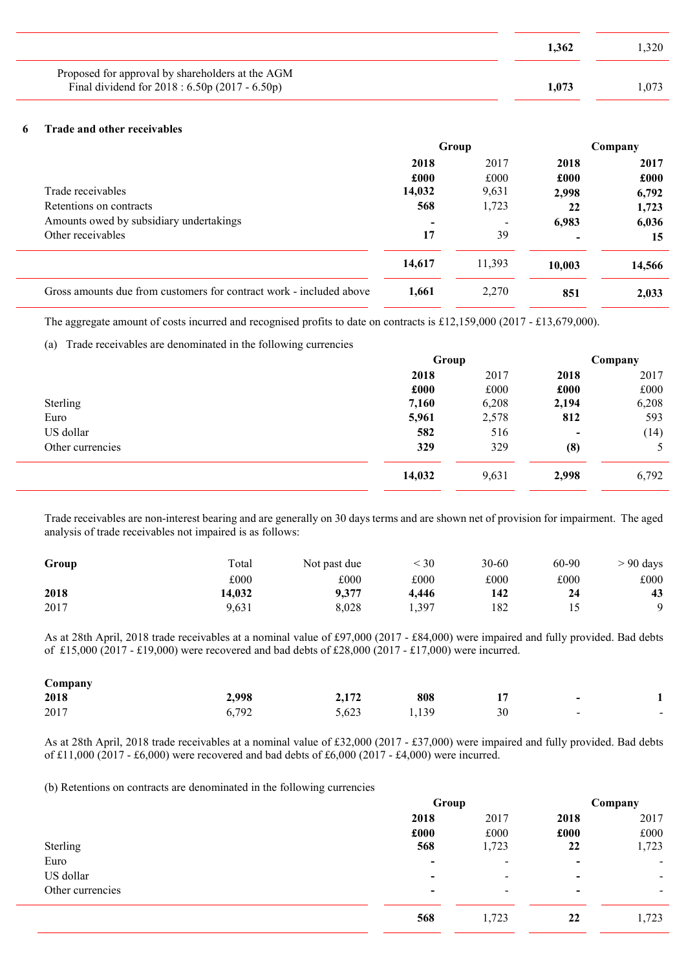|                                                                                                    | 1.362 | .320 |
|----------------------------------------------------------------------------------------------------|-------|------|
| Proposed for approval by shareholders at the AGM<br>Final dividend for 2018 : 6.50p (2017 - 6.50p) | 1.073 |      |

# 6 Trade and other receivables

|                                                                     | Group          |        | Company                  |        |
|---------------------------------------------------------------------|----------------|--------|--------------------------|--------|
|                                                                     | 2018           | 2017   | 2018                     | 2017   |
|                                                                     | £000           | £000   | £000                     | £000   |
| Trade receivables                                                   | 14,032         | 9,631  | 2,998                    | 6,792  |
| Retentions on contracts                                             | 568            | 1,723  | 22                       | 1,723  |
| Amounts owed by subsidiary undertakings                             | $\blacksquare$ |        | 6,983                    | 6,036  |
| Other receivables                                                   | 17             | 39     | $\overline{\phantom{0}}$ | 15     |
|                                                                     | 14,617         | 11.393 | 10,003                   | 14,566 |
| Gross amounts due from customers for contract work - included above | 1.661          | 2,270  | 851                      | 2,033  |

The aggregate amount of costs incurred and recognised profits to date on contracts is £12,159,000 (2017 - £13,679,000).

(a) Trade receivables are denominated in the following currencies

|                  | Group  |       | Company                  |       |
|------------------|--------|-------|--------------------------|-------|
|                  | 2018   | 2017  | 2018                     | 2017  |
|                  | £000   | £000  | £000                     | £000  |
| Sterling         | 7,160  | 6,208 | 2,194                    | 6,208 |
| Euro             | 5,961  | 2,578 | 812                      | 593   |
| US dollar        | 582    | 516   | $\overline{\phantom{a}}$ | (14)  |
| Other currencies | 329    | 329   | (8)                      | 5     |
|                  | 14,032 | 9,631 | 2,998                    | 6,792 |

Trade receivables are non-interest bearing and are generally on 30 days terms and are shown net of provision for impairment. The aged analysis of trade receivables not impaired is as follows:

| Group | Total  | Not past due | < 30  | $30 - 60$ | 60-90 | $> 90$ days |
|-------|--------|--------------|-------|-----------|-------|-------------|
|       | £000   | £000         | £000  | £000      | £000  | £000        |
| 2018  | 14,032 | 9.377        | 4.446 | 142       | 24    | 43          |
| 2017  | 9,631  | 8.028        | . 397 | 182       |       | $\Omega$    |

As at 28th April, 2018 trade receivables at a nominal value of £97,000 (2017 - £84,000) were impaired and fully provided. Bad debts of £15,000 (2017 - £19,000) were recovered and bad debts of £28,000 (2017 - £17,000) were incurred.

| Company |             |       |       |    |                          |                          |
|---------|-------------|-------|-------|----|--------------------------|--------------------------|
| 2018    | 2,998       | 2,172 | 808   |    | $\overline{\phantom{0}}$ |                          |
| 2017    | 792<br>0, / | 5,623 | 1,139 | 30 | $\sim$                   | $\overline{\phantom{0}}$ |

As at 28th April, 2018 trade receivables at a nominal value of £32,000 (2017 - £37,000) were impaired and fully provided. Bad debts of £11,000 (2017 - £6,000) were recovered and bad debts of £6,000 (2017 - £4,000) were incurred.

(b) Retentions on contracts are denominated in the following currencies

|                  | Group                    |                          | Company                  |                |
|------------------|--------------------------|--------------------------|--------------------------|----------------|
|                  | 2018                     | 2017                     | 2018                     | 2017           |
|                  | £000                     | £000                     | £000                     | £000           |
| Sterling         | 568                      | 1,723                    | 22                       | 1,723          |
| Euro             | $\blacksquare$           | $\overline{\phantom{0}}$ | $\,$                     | $\blacksquare$ |
| US dollar        | $\overline{\phantom{0}}$ | $\overline{\phantom{0}}$ | $\,$                     | $\blacksquare$ |
| Other currencies | $\overline{\phantom{0}}$ | $\overline{\phantom{a}}$ | $\overline{\phantom{0}}$ | ۰.             |
|                  | 568                      | 1,723                    | 22                       | 1,723          |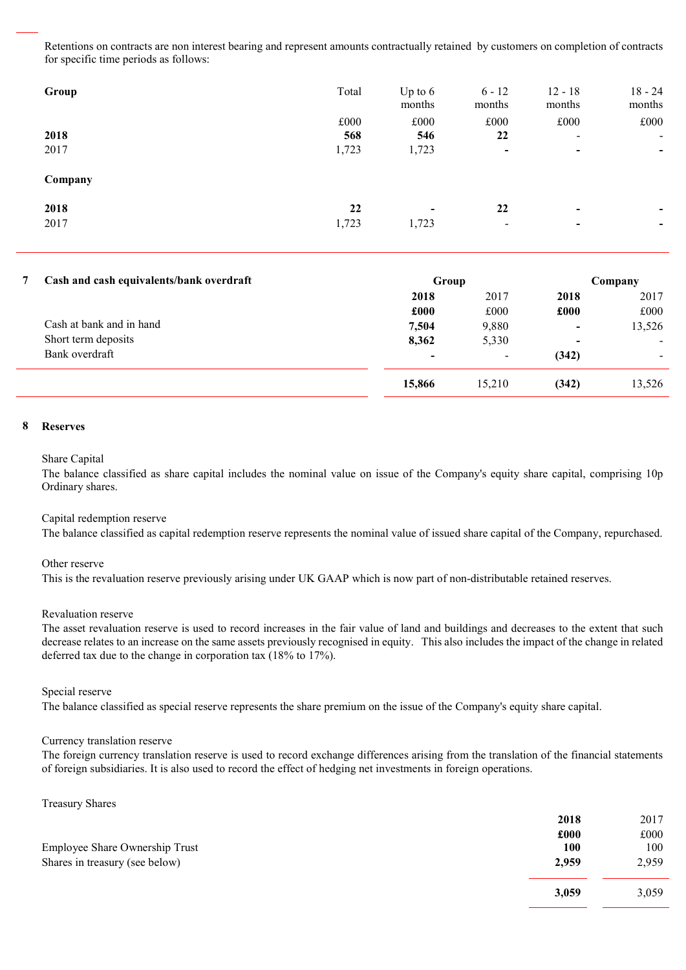Retentions on contracts are non interest bearing and represent amounts contractually retained by customers on completion of contracts for specific time periods as follows:

| Group        | Total                | Up to $6$<br>months               | $6 - 12$<br>months             | $12 - 18$<br>months                   | $18 - 24$<br>months                        |
|--------------|----------------------|-----------------------------------|--------------------------------|---------------------------------------|--------------------------------------------|
| 2018<br>2017 | £000<br>568<br>1,723 | £000<br>546<br>1,723              | £000<br>22<br>$\blacksquare$   | £000<br>$\overline{\phantom{a}}$<br>۰ | £000<br>$\overline{\phantom{a}}$           |
| Company      |                      |                                   |                                |                                       |                                            |
| 2018<br>2017 | 22<br>1,723          | $\overline{\phantom{0}}$<br>1,723 | 22<br>$\overline{\phantom{0}}$ | $\overline{\phantom{0}}$<br>۰         | $\blacksquare$<br>$\overline{\phantom{0}}$ |

# 7 Cash and cash equivalents/bank overdraft Group Company Group Group Company

| Cash and cash court arenes same of ce arany | <b>UIVUD</b>             |        | $\sim$ ompan $,$         |        |
|---------------------------------------------|--------------------------|--------|--------------------------|--------|
|                                             | 2018                     | 2017   | 2018                     | 2017   |
|                                             | £000                     | £000   | £000                     | £000   |
| Cash at bank and in hand                    | 7,504                    | 9,880  | $\overline{\phantom{a}}$ | 13,526 |
| Short term deposits                         | 8,362                    | 5,330  | $\,$                     | $\sim$ |
| Bank overdraft                              | $\overline{\phantom{0}}$ | -      | (342)                    | -      |
|                                             | 15,866                   | 15.210 | (342)                    | 13,526 |
|                                             |                          |        |                          |        |

# 8 Reserves

### Share Capital

The balance classified as share capital includes the nominal value on issue of the Company's equity share capital, comprising 10p Ordinary shares.

### Capital redemption reserve

The balance classified as capital redemption reserve represents the nominal value of issued share capital of the Company, repurchased.

### Other reserve

This is the revaluation reserve previously arising under UK GAAP which is now part of non-distributable retained reserves.

### Revaluation reserve

The asset revaluation reserve is used to record increases in the fair value of land and buildings and decreases to the extent that such decrease relates to an increase on the same assets previously recognised in equity. This also includes the impact of the change in related deferred tax due to the change in corporation tax (18% to 17%).

### Special reserve

The balance classified as special reserve represents the share premium on the issue of the Company's equity share capital.

### Currency translation reserve

The foreign currency translation reserve is used to record exchange differences arising from the translation of the financial statements of foreign subsidiaries. It is also used to record the effect of hedging net investments in foreign operations.

Treasury Shares

|                                | 2018  | 2017  |
|--------------------------------|-------|-------|
|                                | £000  | £000  |
| Employee Share Ownership Trust | 100   | 100   |
| Shares in treasury (see below) | 2,959 | 2,959 |
|                                | 3,059 | 3,059 |